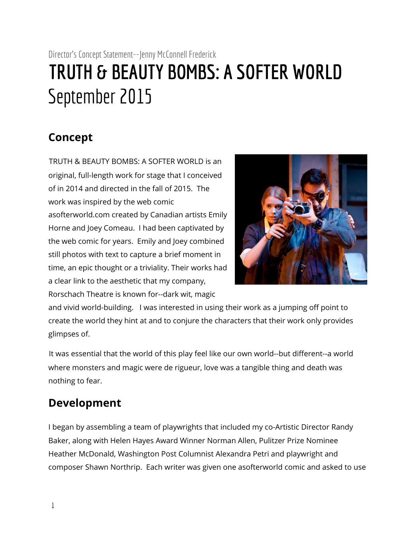## Director's Concept Statement--Jenny McConnell Frederick **TRUTH & BEAUTY BOMBS: A SOFTER WORLD** September 2015

## **Concept**

TRUTH & BEAUTY BOMBS: A SOFTER WORLD is an original, full-length work for stage that I conceived of in 2014 and directed in the fall of 2015. The work was inspired by the web comic asofterworld.com created by Canadian artists Emily Horne and Joey Comeau. I had been captivated by the web comic for years. Emily and Joey combined still photos with text to capture a brief moment in time, an epic thought or a triviality. Their works had a clear link to the aesthetic that my company, Rorschach Theatre is known for--dark wit, magic



and vivid world-building. I was interested in using their work as a jumping off point to create the world they hint at and to conjure the characters that their work only provides glimpses of.

It was essential that the world of this play feel like our own world--but different--a world where monsters and magic were de rigueur, love was a tangible thing and death was nothing to fear.

## **Development**

I began by assembling a team of playwrights that included my co-Artistic Director Randy Baker, along with Helen Hayes Award Winner Norman Allen, Pulitzer Prize Nominee Heather McDonald, Washington Post Columnist Alexandra Petri and playwright and composer Shawn Northrip. Each writer was given one asofterworld comic and asked to use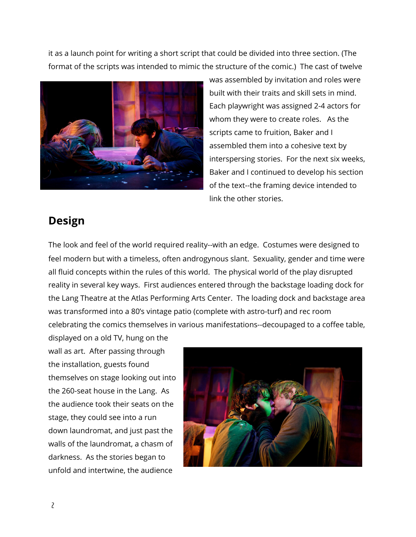it as a launch point for writing a short script that could be divided into three section. (The format of the scripts was intended to mimic the structure of the comic.) The cast of twelve



was assembled by invitation and roles were built with their traits and skill sets in mind. Each playwright was assigned 2-4 actors for whom they were to create roles. As the scripts came to fruition, Baker and I assembled them into a cohesive text by interspersing stories. For the next six weeks, Baker and I continued to develop his section of the text--the framing device intended to link the other stories.

## **Design**

The look and feel of the world required reality--with an edge. Costumes were designed to feel modern but with a timeless, often androgynous slant. Sexuality, gender and time were all fluid concepts within the rules of this world. The physical world of the play disrupted reality in several key ways. First audiences entered through the backstage loading dock for the Lang Theatre at the Atlas Performing Arts Center. The loading dock and backstage area was transformed into a 80's vintage patio (complete with astro-turf) and rec room celebrating the comics themselves in various manifestations--decoupaged to a coffee table,

displayed on a old TV, hung on the wall as art. After passing through the installation, guests found themselves on stage looking out into the 260-seat house in the Lang. As the audience took their seats on the stage, they could see into a run down laundromat, and just past the walls of the laundromat, a chasm of darkness. As the stories began to unfold and intertwine, the audience